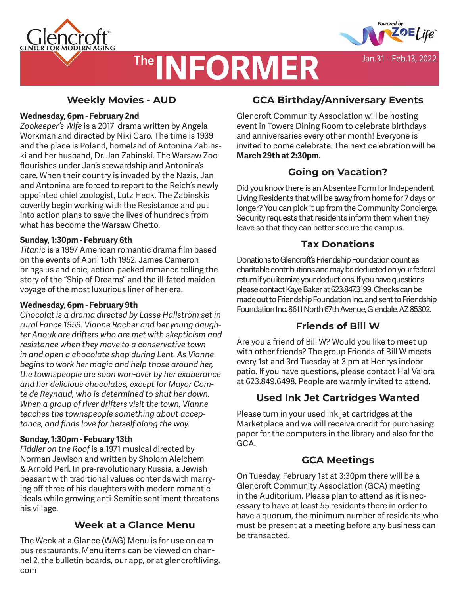



Jan.31 - Feb.13, 2022

# **The INFORMER**

### **Weekly Movies - AUD**

### **Wednesday, 6pm - February 2nd**

*Zookeeper's Wife* is a 2017 drama written by Angela Workman and directed by Niki Caro. The time is 1939 and the place is Poland, homeland of Antonina Zabinski and her husband, Dr. Jan Zabinski. The Warsaw Zoo flourishes under Jan's stewardship and Antonina's care. When their country is invaded by the Nazis, Jan and Antonina are forced to report to the Reich's newly appointed chief zoologist, Lutz Heck. The Zabinskis covertly begin working with the Resistance and put into action plans to save the lives of hundreds from what has become the Warsaw Ghetto.

### **Sunday, 1:30pm - February 6th**

*Titanic* is a 1997 American romantic drama film based on the events of April 15th 1952. James Cameron brings us and epic, action-packed romance telling the story of the "Ship of Dreams" and the ill-fated maiden voyage of the most luxurious liner of her era.

### **Wednesday, 6pm - February 9th**

*Chocolat is a drama directed by Lasse Hallström set in rural Fance 1959. Vianne Rocher and her young daughter Anouk are drifters who are met with skepticism and resistance when they move to a conservative town in and open a chocolate shop during Lent. As Vianne begins to work her magic and help those around her, the townspeople are soon won-over by her exuberance and her delicious chocolates, except for Mayor Comte de Reynaud, who is determined to shut her down. When a group of river drifters visit the town, Vianne teaches the townspeople something about acceptance, and finds love for herself along the way.* 

### **Sunday, 1:30pm - Febuary 13th**

*Fiddler on the Roof* is a 1971 musical directed by Norman Jewison and written by Sholom Aleichem & Arnold Perl. In pre-revolutionary Russia, a Jewish peasant with traditional values contends with marrying off three of his daughters with modern romantic ideals while growing anti-Semitic sentiment threatens his village.

### **Week at a Glance Menu**

The Week at a Glance (WAG) Menu is for use on campus restaurants. Menu items can be viewed on channel 2, the bulletin boards, our app, or at glencroftliving. com

### **GCA Birthday/Anniversary Events**

Glencroft Community Association will be hosting event in Towers Dining Room to celebrate birthdays and anniversaries every other month! Everyone is invited to come celebrate. The next celebration will be **March 29th at 2:30pm.** 

### **Going on Vacation?**

Did you know there is an Absentee Form for Independent Living Residents that will be away from home for 7 days or longer? You can pick it up from the Community Concierge. Security requests that residents inform them when they leave so that they can better secure the campus.

### **Tax Donations**

Donations to Glencroft's Friendship Foundation count as charitable contributions and may be deducted on your federal return if you itemize your deductions. If you have questions please contact Kaye Baker at 623.847.3199. Checks can be made out to Friendship Foundation Inc. and sent to Friendship Foundation Inc. 8611 North 67th Avenue, Glendale, AZ 85302.

### **Friends of Bill W**

Are you a friend of Bill W? Would you like to meet up with other friends? The group Friends of Bill W meets every 1st and 3rd Tuesday at 3 pm at Henrys indoor patio. If you have questions, please contact Hal Valora at 623.849.6498. People are warmly invited to attend.

### **Used Ink Jet Cartridges Wanted**

Please turn in your used ink jet cartridges at the Marketplace and we will receive credit for purchasing paper for the computers in the library and also for the GCA.

### **GCA Meetings**

On Tuesday, February 1st at 3:30pm there will be a Glencroft Community Association (GCA) meeting in the Auditorium. Please plan to attend as it is necessary to have at least 55 residents there in order to have a quorum, the minimum number of residents who must be present at a meeting before any business can be transacted.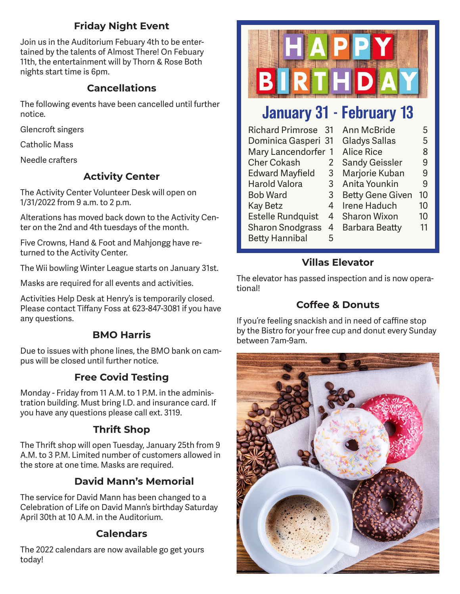### **Friday Night Event**

Join us in the Auditorium Febuary 4th to be entertained by the talents of Almost There! On Febuary 11th, the entertainment will by Thorn & Rose Both nights start time is 6pm.

### **Cancellations**

The following events have been cancelled until further notice.

Glencroft singers

Catholic Mass

Needle crafters

### **Activity Center**

The Activity Center Volunteer Desk will open on 1/31/2022 from 9 a.m. to 2 p.m.

Alterations has moved back down to the Activity Center on the 2nd and 4th tuesdays of the month.

Five Crowns, Hand & Foot and Mahjongg have returned to the Activity Center.

The Wii bowling Winter League starts on January 31st.

Masks are required for all events and activities.

Activities Help Desk at Henry's is temporarily closed. Please contact Tiffany Foss at 623-847-3081 if you have any questions.

### **BMO Harris**

Due to issues with phone lines, the BMO bank on campus will be closed until further notice.

### **Free Covid Testing**

Monday - Friday from 11 A.M. to 1 P.M. in the administration building. Must bring I.D. and insurance card. If you have any questions please call ext. 3119.

### **Thrift Shop**

The Thrift shop will open Tuesday, January 25th from 9 A.M. to 3 P.M. Limited number of customers allowed in the store at one time. Masks are required.

### **David Mann's Memorial**

The service for David Mann has been changed to a Celebration of Life on David Mann's birthday Saturday April 30th at 10 A.M. in the Auditorium.

### **Calendars**

The 2022 calendars are now available go get yours today!



# January 31 - February 13

| <b>Richard Primrose</b>  | -31 | <b>Ann McBride</b>      | 5  |
|--------------------------|-----|-------------------------|----|
| Dominica Gasperi 31      |     | <b>Gladys Sallas</b>    | 5  |
| Mary Lancendorfer<br>-1  |     | <b>Alice Rice</b>       | 8  |
| <b>Cher Cokash</b>       | 2   | <b>Sandy Geissler</b>   | 9  |
| <b>Edward Mayfield</b>   | 3   | Marjorie Kuban          | 9  |
| <b>Harold Valora</b>     | 3   | Anita Younkin           | 9  |
| <b>Bob Ward</b>          | 3   | <b>Betty Gene Given</b> | 10 |
| <b>Kay Betz</b>          | 4   | Irene Haduch            | 10 |
| <b>Estelle Rundquist</b> | 4   | <b>Sharon Wixon</b>     | 10 |
| <b>Sharon Snodgrass</b>  | 4   | Barbara Beatty          | 11 |
| <b>Betty Hannibal</b>    | 5   |                         |    |

### **Villas Elevator**

The elevator has passed inspection and is now operational!

### **Coffee & Donuts**

If you're feeling snackish and in need of caffine stop by the Bistro for your free cup and donut every Sunday between 7am-9am.

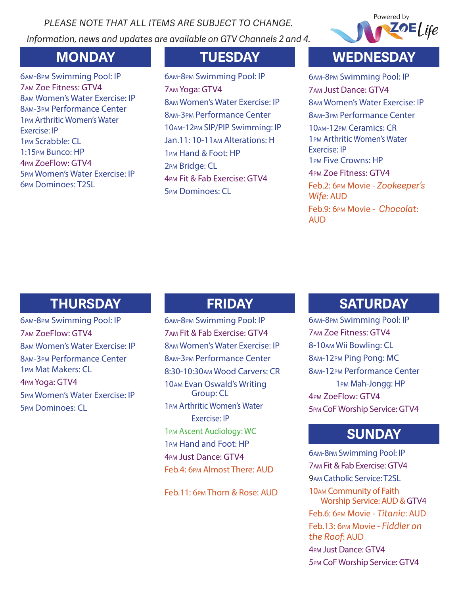*PLEASE NOTE THAT ALL ITEMS ARE SUBJECT TO CHANGE. Information, news and updates are available on GTV Channels 2 and 4.*



am-8pm Swimming Pool: IP am Zoe Fitness: GTV4 am Women's Water Exercise: IP am-3pm Performance Center pm Arthritic Women's Water Exercise: IP pm Scrabble: CL 1:15pm Bunco: HP pm ZoeFlow: GTV4 pm Women's Water Exercise: IP pm Dominoes: T2SL

am-8pm Swimming Pool: IP am Yoga: GTV4 am Women's Water Exercise: IP am-3pm Performance Center am-12pm SIP/PIP Swimming: IP Jan.11: 10-11am Alterations: H pm Hand & Foot: HP pm Bridge: CL pm Fit & Fab Exercise: GTV4 pm Dominoes: CL

# **MONDAY TUESDAY WEDNESDAY**

am-8pm Swimming Pool: IP am Just Dance: GTV4 am Women's Water Exercise: IP am-3pm Performance Center 10AM-12pm Ceramics: CR pm Arthritic Women's Water Exercise: IP pm Five Crowns: HP pm Zoe Fitness: GTV4 Feb.2: 6pm Movie - *Zookeeper's Wife*: AUD Feb.9: 6pm Movie - *Chocolat*: AUD

# **THURSDAY FRIDAY**

am-8pm Swimming Pool: IP am ZoeFlow: GTV4 am Women's Water Exercise: IP am-3pm Performance Center pm Mat Makers: CL pm Yoga: GTV4 pm Women's Water Exercise: IP pm Dominoes: CL

am-8pm Swimming Pool: IP am Fit & Fab Exercise: GTV4 am Women's Water Exercise: IP am-3pm Performance Center 8:30-10:30am Wood Carvers: CR am Evan Oswald's Writing Group: CL pm Arthritic Women's Water Exercise: IP pm Ascent Audiology: WC pm Hand and Foot: HP pm Just Dance: GTV4 Feb.4: 6pm Almost There: AUD

Feb.11: 6pm Thorn & Rose: AUD

# **SATURDAY**

am-8pm Swimming Pool: IP am Zoe Fitness: GTV4 8-10am Wii Bowling: CL am-12pm Ping Pong: MC am-12pm Performance Center pm Mah-Jongg: HP pm ZoeFlow: GTV4 pm CoF Worship Service: GTV4

## **SUNDAY**

am-8pm Swimming Pool: IP am Fit & Fab Exercise: GTV4 am Catholic Service: T2SL am Community of Faith Worship Service: AUD & GTV4 Feb.6: 6pm Movie - *Titanic*: AUD Feb.13: 6pm Movie - *Fiddler on the Roof*: AUD pm Just Dance: GTV4 pm CoF Worship Service: GTV4